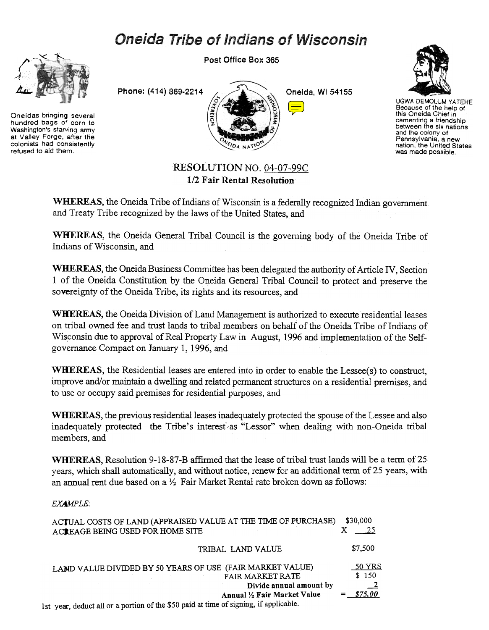# **Oneida Tribe of Indians of Wisconsin**



Oneidas bringing several hundred bags of corn to Washington's starving army at Valley Forge, after the colonists had consistently refused to aid them.





UGWA DEMOLUM YATEHE Because of the help of this Oneida Chief in cementing a friendshij<br>between the six nation and the colony of Pennsylvania. a new nation. the United States was made possible.

## RESOLUTION NO. 04-07-99C 1/2 Fair Rental Resolution

WHEREAS, the Oneida Tribe of Indians of Wisconsin is a federally recognized Indian government and Treaty Tribe recognized by the laws of the United States, and

WHEREAS, the Oneida General Tribal Council is the governing body of the Oneida Tribe of Indians of Wisconsin, and

WHEREAS, the Oneida Business Committee has been delegated the authority of Article IV, Section 1 of the Oneida Constitution by the Oneida General Tribal Council to protect and preserve the sovereignty of the Oneida Tribe, its rights and its resources, and

WHEREAS, the Oneida Division of Land Management is authorized to execute residential leases on tribal owned fee and trust lands to tribal members on behalf of the Oneida Tribe of Indians of Wisconsin due to approval of Real Property Law in August, 1996 and implementation of the Selfgovernance Compact on January 1, 1996, and

WHEREAS, the Residential leases are entered into in order to enable the Lessee(s) to construct, improve and/or maintain a dwelling and related permanent structures on a residential premises, and to use or occupy said premises for residential purposes, and

WHEREAS, the previous residential leases inadequately protected the spouse of the Lessee and also inadequately protected the Tribe's interest as "Lessor" when dealing with non-Oneida tribal members, and

WHEREAS, Resolution 9-18-87-B affirmed that the lease of tribal trust lands will be a term of 25 years, which shall automatically, and without notice, renew for an additional term of 25 years, with an annual rent due based on a  $\frac{1}{2}$  Fair Market Rental rate broken down as follows:

## EXAMPLE:

| ACTUAL COSTS OF LAND (APPRAISED VALUE AT THE TIME OF PURCHASE)<br>ACREAGE BEING USED FOR HOME SITE                    | \$30,000<br>.25 |
|-----------------------------------------------------------------------------------------------------------------------|-----------------|
| TRIBAL LAND VALUE                                                                                                     | \$7,500         |
| LAND VALUE DIVIDED BY 50 YEARS OF USE (FAIR MARKET VALUE)<br>FAIR MARKET RATE                                         | 50 YRS<br>\$150 |
| Divide annual amount by                                                                                               | $\overline{-2}$ |
| Annual 1/2 Fair Market Value<br>$\pm$ seems deducted or a portion of the $$50$ paid at time of signing if applicable. | \$75.00         |
|                                                                                                                       |                 |

1st year, deduct all or a portion of the \$50 paid at time of signing, if applicable.